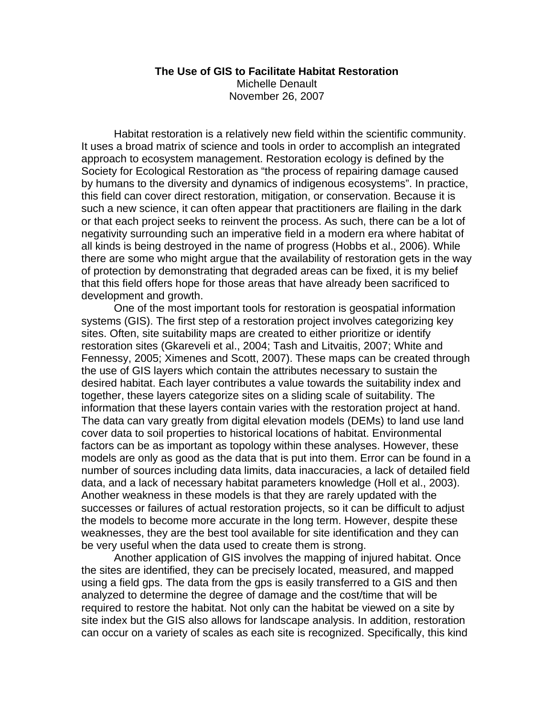#### **The Use of GIS to Facilitate Habitat Restoration**  Michelle Denault November 26, 2007

Habitat restoration is a relatively new field within the scientific community. It uses a broad matrix of science and tools in order to accomplish an integrated approach to ecosystem management. Restoration ecology is defined by the Society for Ecological Restoration as "the process of repairing damage caused by humans to the diversity and dynamics of indigenous ecosystems". In practice, this field can cover direct restoration, mitigation, or conservation. Because it is such a new science, it can often appear that practitioners are flailing in the dark or that each project seeks to reinvent the process. As such, there can be a lot of negativity surrounding such an imperative field in a modern era where habitat of all kinds is being destroyed in the name of progress (Hobbs et al., 2006). While there are some who might argue that the availability of restoration gets in the way of protection by demonstrating that degraded areas can be fixed, it is my belief that this field offers hope for those areas that have already been sacrificed to development and growth.

One of the most important tools for restoration is geospatial information systems (GIS). The first step of a restoration project involves categorizing key sites. Often, site suitability maps are created to either prioritize or identify restoration sites (Gkareveli et al., 2004; Tash and Litvaitis, 2007; White and Fennessy, 2005; Ximenes and Scott, 2007). These maps can be created through the use of GIS layers which contain the attributes necessary to sustain the desired habitat. Each layer contributes a value towards the suitability index and together, these layers categorize sites on a sliding scale of suitability. The information that these layers contain varies with the restoration project at hand. The data can vary greatly from digital elevation models (DEMs) to land use land cover data to soil properties to historical locations of habitat. Environmental factors can be as important as topology within these analyses. However, these models are only as good as the data that is put into them. Error can be found in a number of sources including data limits, data inaccuracies, a lack of detailed field data, and a lack of necessary habitat parameters knowledge (Holl et al., 2003). Another weakness in these models is that they are rarely updated with the successes or failures of actual restoration projects, so it can be difficult to adjust the models to become more accurate in the long term. However, despite these weaknesses, they are the best tool available for site identification and they can be very useful when the data used to create them is strong.

Another application of GIS involves the mapping of injured habitat. Once the sites are identified, they can be precisely located, measured, and mapped using a field gps. The data from the gps is easily transferred to a GIS and then analyzed to determine the degree of damage and the cost/time that will be required to restore the habitat. Not only can the habitat be viewed on a site by site index but the GIS also allows for landscape analysis. In addition, restoration can occur on a variety of scales as each site is recognized. Specifically, this kind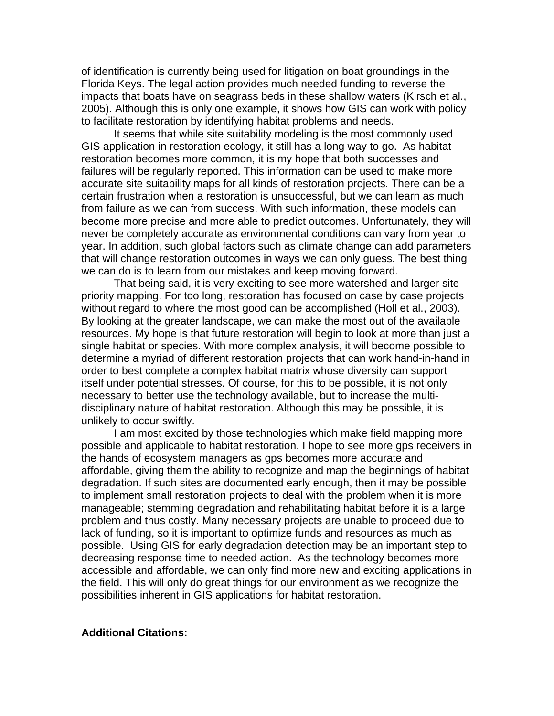of identification is currently being used for litigation on boat groundings in the Florida Keys. The legal action provides much needed funding to reverse the impacts that boats have on seagrass beds in these shallow waters (Kirsch et al., 2005). Although this is only one example, it shows how GIS can work with policy to facilitate restoration by identifying habitat problems and needs.

It seems that while site suitability modeling is the most commonly used GIS application in restoration ecology, it still has a long way to go. As habitat restoration becomes more common, it is my hope that both successes and failures will be regularly reported. This information can be used to make more accurate site suitability maps for all kinds of restoration projects. There can be a certain frustration when a restoration is unsuccessful, but we can learn as much from failure as we can from success. With such information, these models can become more precise and more able to predict outcomes. Unfortunately, they will never be completely accurate as environmental conditions can vary from year to year. In addition, such global factors such as climate change can add parameters that will change restoration outcomes in ways we can only guess. The best thing we can do is to learn from our mistakes and keep moving forward.

That being said, it is very exciting to see more watershed and larger site priority mapping. For too long, restoration has focused on case by case projects without regard to where the most good can be accomplished (Holl et al., 2003). By looking at the greater landscape, we can make the most out of the available resources. My hope is that future restoration will begin to look at more than just a single habitat or species. With more complex analysis, it will become possible to determine a myriad of different restoration projects that can work hand-in-hand in order to best complete a complex habitat matrix whose diversity can support itself under potential stresses. Of course, for this to be possible, it is not only necessary to better use the technology available, but to increase the multidisciplinary nature of habitat restoration. Although this may be possible, it is unlikely to occur swiftly.

I am most excited by those technologies which make field mapping more possible and applicable to habitat restoration. I hope to see more gps receivers in the hands of ecosystem managers as gps becomes more accurate and affordable, giving them the ability to recognize and map the beginnings of habitat degradation. If such sites are documented early enough, then it may be possible to implement small restoration projects to deal with the problem when it is more manageable; stemming degradation and rehabilitating habitat before it is a large problem and thus costly. Many necessary projects are unable to proceed due to lack of funding, so it is important to optimize funds and resources as much as possible. Using GIS for early degradation detection may be an important step to decreasing response time to needed action. As the technology becomes more accessible and affordable, we can only find more new and exciting applications in the field. This will only do great things for our environment as we recognize the possibilities inherent in GIS applications for habitat restoration.

#### **Additional Citations:**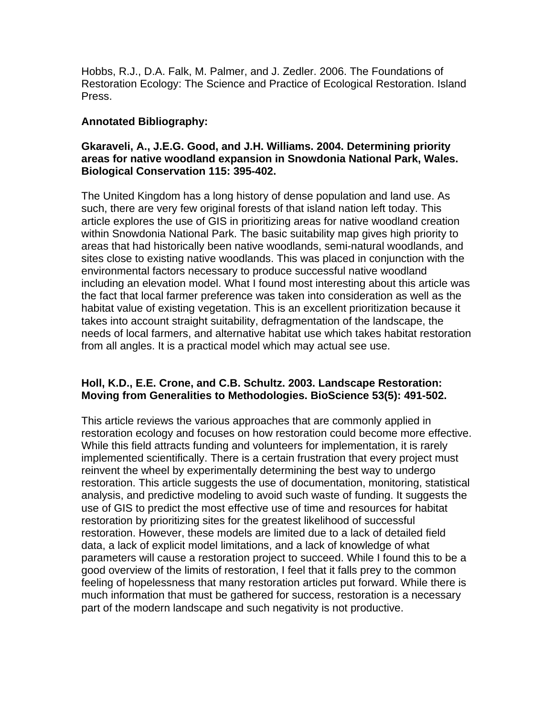Hobbs, R.J., D.A. Falk, M. Palmer, and J. Zedler. 2006. The Foundations of Restoration Ecology: The Science and Practice of Ecological Restoration. Island Press.

## **Annotated Bibliography:**

## **Gkaraveli, A., J.E.G. Good, and J.H. Williams. 2004. Determining priority areas for native woodland expansion in Snowdonia National Park, Wales. Biological Conservation 115: 395-402.**

The United Kingdom has a long history of dense population and land use. As such, there are very few original forests of that island nation left today. This article explores the use of GIS in prioritizing areas for native woodland creation within Snowdonia National Park. The basic suitability map gives high priority to areas that had historically been native woodlands, semi-natural woodlands, and sites close to existing native woodlands. This was placed in conjunction with the environmental factors necessary to produce successful native woodland including an elevation model. What I found most interesting about this article was the fact that local farmer preference was taken into consideration as well as the habitat value of existing vegetation. This is an excellent prioritization because it takes into account straight suitability, defragmentation of the landscape, the needs of local farmers, and alternative habitat use which takes habitat restoration from all angles. It is a practical model which may actual see use.

## **Holl, K.D., E.E. Crone, and C.B. Schultz. 2003. Landscape Restoration: Moving from Generalities to Methodologies. BioScience 53(5): 491-502.**

This article reviews the various approaches that are commonly applied in restoration ecology and focuses on how restoration could become more effective. While this field attracts funding and volunteers for implementation, it is rarely implemented scientifically. There is a certain frustration that every project must reinvent the wheel by experimentally determining the best way to undergo restoration. This article suggests the use of documentation, monitoring, statistical analysis, and predictive modeling to avoid such waste of funding. It suggests the use of GIS to predict the most effective use of time and resources for habitat restoration by prioritizing sites for the greatest likelihood of successful restoration. However, these models are limited due to a lack of detailed field data, a lack of explicit model limitations, and a lack of knowledge of what parameters will cause a restoration project to succeed. While I found this to be a good overview of the limits of restoration, I feel that it falls prey to the common feeling of hopelessness that many restoration articles put forward. While there is much information that must be gathered for success, restoration is a necessary part of the modern landscape and such negativity is not productive.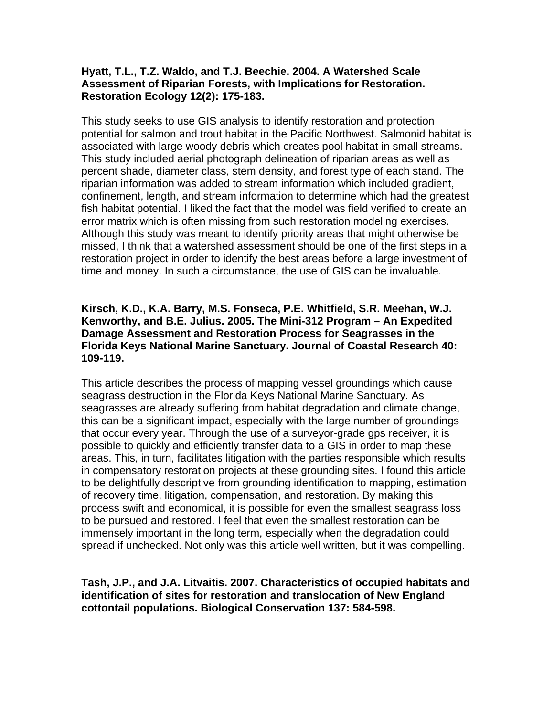## **Hyatt, T.L., T.Z. Waldo, and T.J. Beechie. 2004. A Watershed Scale Assessment of Riparian Forests, with Implications for Restoration. Restoration Ecology 12(2): 175-183.**

This study seeks to use GIS analysis to identify restoration and protection potential for salmon and trout habitat in the Pacific Northwest. Salmonid habitat is associated with large woody debris which creates pool habitat in small streams. This study included aerial photograph delineation of riparian areas as well as percent shade, diameter class, stem density, and forest type of each stand. The riparian information was added to stream information which included gradient, confinement, length, and stream information to determine which had the greatest fish habitat potential. I liked the fact that the model was field verified to create an error matrix which is often missing from such restoration modeling exercises. Although this study was meant to identify priority areas that might otherwise be missed, I think that a watershed assessment should be one of the first steps in a restoration project in order to identify the best areas before a large investment of time and money. In such a circumstance, the use of GIS can be invaluable.

## **Kirsch, K.D., K.A. Barry, M.S. Fonseca, P.E. Whitfield, S.R. Meehan, W.J. Kenworthy, and B.E. Julius. 2005. The Mini-312 Program – An Expedited Damage Assessment and Restoration Process for Seagrasses in the Florida Keys National Marine Sanctuary. Journal of Coastal Research 40: 109-119.**

This article describes the process of mapping vessel groundings which cause seagrass destruction in the Florida Keys National Marine Sanctuary. As seagrasses are already suffering from habitat degradation and climate change, this can be a significant impact, especially with the large number of groundings that occur every year. Through the use of a surveyor-grade gps receiver, it is possible to quickly and efficiently transfer data to a GIS in order to map these areas. This, in turn, facilitates litigation with the parties responsible which results in compensatory restoration projects at these grounding sites. I found this article to be delightfully descriptive from grounding identification to mapping, estimation of recovery time, litigation, compensation, and restoration. By making this process swift and economical, it is possible for even the smallest seagrass loss to be pursued and restored. I feel that even the smallest restoration can be immensely important in the long term, especially when the degradation could spread if unchecked. Not only was this article well written, but it was compelling.

### **Tash, J.P., and J.A. Litvaitis. 2007. Characteristics of occupied habitats and identification of sites for restoration and translocation of New England cottontail populations. Biological Conservation 137: 584-598.**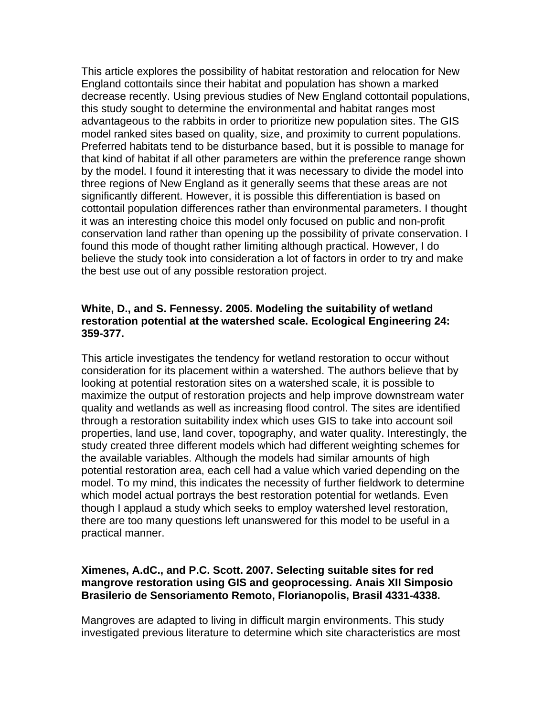This article explores the possibility of habitat restoration and relocation for New England cottontails since their habitat and population has shown a marked decrease recently. Using previous studies of New England cottontail populations, this study sought to determine the environmental and habitat ranges most advantageous to the rabbits in order to prioritize new population sites. The GIS model ranked sites based on quality, size, and proximity to current populations. Preferred habitats tend to be disturbance based, but it is possible to manage for that kind of habitat if all other parameters are within the preference range shown by the model. I found it interesting that it was necessary to divide the model into three regions of New England as it generally seems that these areas are not significantly different. However, it is possible this differentiation is based on cottontail population differences rather than environmental parameters. I thought it was an interesting choice this model only focused on public and non-profit conservation land rather than opening up the possibility of private conservation. I found this mode of thought rather limiting although practical. However, I do believe the study took into consideration a lot of factors in order to try and make the best use out of any possible restoration project.

## **White, D., and S. Fennessy. 2005. Modeling the suitability of wetland restoration potential at the watershed scale. Ecological Engineering 24: 359-377.**

This article investigates the tendency for wetland restoration to occur without consideration for its placement within a watershed. The authors believe that by looking at potential restoration sites on a watershed scale, it is possible to maximize the output of restoration projects and help improve downstream water quality and wetlands as well as increasing flood control. The sites are identified through a restoration suitability index which uses GIS to take into account soil properties, land use, land cover, topography, and water quality. Interestingly, the study created three different models which had different weighting schemes for the available variables. Although the models had similar amounts of high potential restoration area, each cell had a value which varied depending on the model. To my mind, this indicates the necessity of further fieldwork to determine which model actual portrays the best restoration potential for wetlands. Even though I applaud a study which seeks to employ watershed level restoration, there are too many questions left unanswered for this model to be useful in a practical manner.

# **Ximenes, A.dC., and P.C. Scott. 2007. Selecting suitable sites for red mangrove restoration using GIS and geoprocessing. Anais XII Simposio Brasilerio de Sensoriamento Remoto, Florianopolis, Brasil 4331-4338.**

Mangroves are adapted to living in difficult margin environments. This study investigated previous literature to determine which site characteristics are most